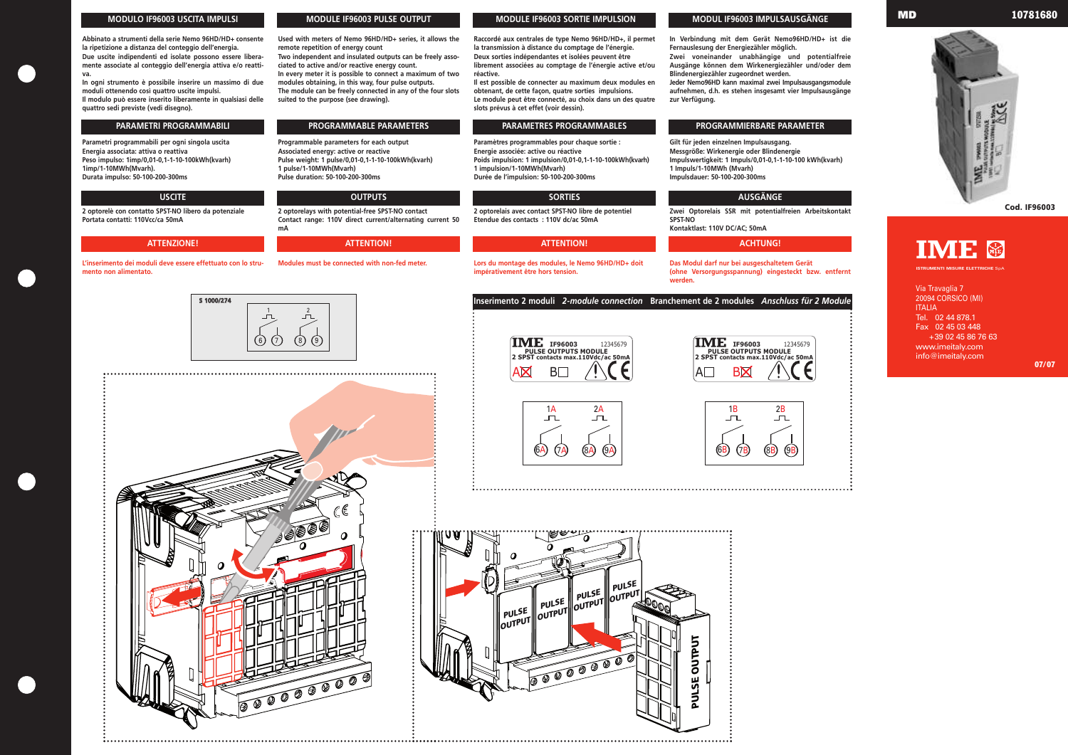## **MODULO IF96003 USCITA IMPULSI**

**Abbinato a strumenti della serie Nemo 96HD/HD+ consente la ripetizione a distanza del conteggio dell'energia. Due uscite indipendenti ed isolate possono essere liberamente associate al conteggio dell'energia attiva e/o reatti-**

**va. In ogni strumento è possibile inserire un massimo di due moduli ottenendo così quattro uscite impulsi.**

**Il modulo può essere inserito liberamente in qualsiasi delle quattro sedi previste (vedi disegno).**

**Parametri programmabili per ogni singola uscita Energia associata: attiva o reattiva Peso impulso: 1imp/0,01-0,1-1-10-100kWh(kvarh) 1imp/1-10MWh(Mvarh). Durata impulso: 50-100-200-300ms**

**2 optorelè con contatto SPST-NO libero da potenziale Portata contatti: 110Vcc/ca 50mA**

**L'inserimento dei moduli deve essere effettuato con lo strumento non alimentato.**

**Used with meters of Nemo 96HD/HD+ series, it allows the remote repetition of energy count**

**Two independent and insulated outputs can be freely associated to active and/or reactive energy count. In every meter it is possible to connect a maximum of two**

**modules obtaining, in this way, four pulse outputs. The module can be freely connected in any of the four slots suited to the purpose (see drawing).**

**Programmable parameters for each output Associated energy: active or reactive Pulse weight: 1 pulse/0,01-0,1-1-10-100kWh(kvarh) 1 pulse/1-10MWh(Mvarh) Pulse duration: 50-100-200-300ms**

**2 optorelays with potential-free SPST-NO contact Contact range: 110V direct current/alternating current 50 mA**

**Modules must be connected with non-fed meter.**

**Raccordé aux centrales de type Nemo 96HD/HD+, il permet la transmission à distance du comptage de l'énergie. Deux sorties indépendantes et isolées peuvent être librement associées au comptage de l'énergie active et/ou réactive.** 

**Il est possible de connecter au maximum deux modules en obtenant, de cette façon, quatre sorties impulsions. Le module peut être connecté, au choix dans un des quatre slots prévus à cet effet (voir dessin).**

**Paramètres programmables pour chaque sortie : Energie associée: active ou réactive Poids impulsion: 1 impulsion/0,01-0,1-1-10-100kWh(kvarh) 1 impulsion/1-10MWh(Mvarh) Durée de l'impulsion: 50-100-200-300ms**

**2 optorelais avec contact SPST-NO libre de potentiel Etendue des contacts : 110V dc/ac 50mA**

**Lors du montage des modules, le Nemo 96HD/HD+ doit impérativement être hors tension.**

**In Verbindung mit dem Gerät Nemo96HD/HD+ ist die Fernauslesung der Energiezähler möglich. Zwei voneinander unabhängige und potentialfreie Ausgänge können dem Wirkenergiezähler und/oder dem Blindenergiezähler zugeordnet werden. Jeder Nemo96HD kann maximal zwei Impulsausgangsmodule aufnehmen, d.h. es stehen insgesamt vier Impulsausgänge zur Verfügung.**

**Gilt für jeden einzelnen Impulsausgang. Messgröße: Wirkenergie oder Blindenergie Impulswertigkeit: 1 Impuls/0,01-0,1-1-10-100 kWh(kvarh) 1 Impuls/1-10MWh (Mvarh) Impulsdauer: 50-100-200-300ms**

**Zwei Optorelais SSR mit potentialfreien Arbeitskontakt SPST-NO Kontaktlast: 110V DC/AC; 50mA**







**Das Modul darf nur bei ausgeschaltetem Gerät (ohne Versorgungsspannung) eingesteckt bzw. entfernt werden.**

# **MODULE IF96003 PULSE OUTPUT MODULE IF96003 SORTIE IMPULSION MODUL IF96003 IMPULSAUSGÄNGE**

## **USCITE OUTPUTS SORTIES AUSGÄNGE**















### **ATTENZIONE! ATTENTION! ATTENTION! ACHTUNG!**

## **PARAMETRI PROGRAMMABILI PROGRAMMABLE PARAMETERS PARAMETRES PROGRAMMABLES PROGRAMMIERBARE PARAMETER**

**Inserimento 2 moduli** *2-module connection* **Branchement de 2 modules** *Anschluss für 2 Module*

Via Travaglia 7 20094 CORSICO (MI) ITALIA Tel. 02 44 878.1 Fax 02 45 03 448 +39 02 45 86 76 63 www.imeitaly.com info@imeitaly.com

**ISTRUMENTI MISURE ELETTRICHE** SpA



**Cod. IF96003**



**07/07**